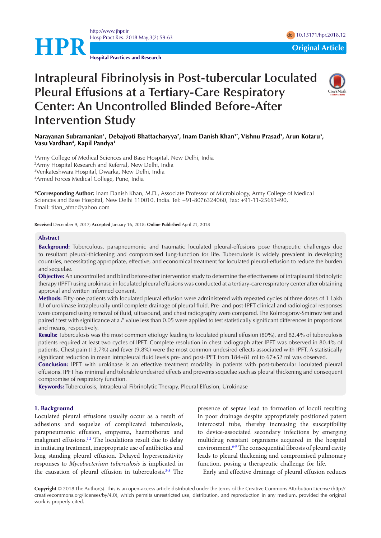<http://www.jhpr.ir> Hosp Pract Res. 2018 May;3(2):59-63 doi [10.15171/hpr.2018.1](https://doi.org/10.15171/hpr.2018.12)2



**Hospital Practices and Research**

# **Intrapleural Fibrinolysis in Post-tubercular Loculated Pleural Effusions at a Tertiary-Care Respiratory Center: An Uncontrolled Blinded Before-After Intervention Study**



# Narayanan Subramanian<sup>1</sup>, Debajyoti Bhattacharyya<sup>2</sup>, Inam Danish Khan<sup>1</sup>\*, Vishnu Prasad<sup>1</sup>, Arun Kotaru<sup>3</sup>, **Vasu Vardhan4 , Kapil Pandya1**

 Army College of Medical Sciences and Base Hospital, New Delhi, India Army Hospital Research and Referral, New Delhi, India Venkateshwara Hospital, Dwarka, New Delhi, India Armed Forces Medical College, Pune, India

**\*Corresponding Author:** Inam Danish Khan, M.D., Associate Professor of Microbiology, Army College of Medical Sciences and Base Hospital, New Delhi 110010, India. Tel: +91-8076324060, Fax: +91-11-25693490, Email: titan\_afmc@yahoo.com

**Received** December 9, 2017; **Accepted** January 16, 2018; **Online Published** April 21, 2018

#### **Abstract**

**Background:** Tuberculous, parapneumonic and traumatic loculated pleural-effusions pose therapeutic challenges due to resultant pleural-thickening and compromised lung-function for life. Tuberculosis is widely prevalent in developing countries, necessitating appropriate, effective, and economical treatment for loculated pleural-effusion to reduce the burden and sequelae.

**Objective:** An uncontrolled and blind before-after intervention study to determine the effectiveness of intrapleural fibrinolytic therapy (IPFT) using urokinase in loculated pleural effusions was conducted at a tertiary-care respiratory center after obtaining approval and written informed consent.

**Methods:** Fifty-one patients with loculated pleural effusion were administered with repeated cycles of three doses of 1 Lakh IU of urokinase intrapleurally until complete drainage of pleural fluid. Pre- and post-IPFT clinical and radiological responses were compared using removal of fluid, ultrasound, and chest radiography were compared. The Kolmogorov-Smirnov test and paired *t* test with significance at a *P* value less than 0.05 were applied to test statistically significant differences in proportions and means, respectively.

**Results:** Tuberculosis was the most common etiology leading to loculated pleural effusion (80%), and 82.4% of tuberculosis patients required at least two cycles of IPFT. Complete resolution in chest radiograph after IPFT was observed in 80.4% of patients. Chest pain (13.7%) and fever (9.8%) were the most common undesired effects associated with IPFT. A statistically significant reduction in mean intrapleural fluid levels pre- and post-IPFT from 184±81 ml to 67±52 ml was observed.

**Conclusion:** IPFT with urokinase is an effective treatment modality in patients with post-tubercular loculated pleural effusions. IPFT has minimal and tolerable undesired effects and prevents sequelae such as pleural thickening and consequent compromise of respiratory function.

**Keywords:** Tuberculosis, Intrapleural Fibrinolytic Therapy, Pleural Effusion, Urokinase

#### **1. Background**

Loculated pleural effusions usually occur as a result of adhesions and sequelae of complicated tuberculosis, parapneumonic effusion, empyema, haemothorax and malignant effusions.<sup>[1,](#page-3-0)[2](#page-3-1)</sup> The loculations result due to delay in initiating treatment, inappropriate use of antibiotics and long standing pleural effusion. Delayed hypersensitivity responses to *Mycobacterium tuberculosis* is implicated in the causation of pleural effusion in tuberculosis.<sup>3[-5](#page-3-3)</sup> The

presence of septae lead to formation of loculi resulting in poor drainage despite appropriately positioned patent intercostal tube, thereby increasing the susceptibility to device-associated secondary infections by emerging multidrug resistant organisms acquired in the hospital environment.<sup>[6-](#page-3-4)[9](#page-3-5)</sup> The consequential fibrosis of pleural cavity leads to pleural thickening and compromised pulmonary function, posing a therapeutic challenge for life.

Early and effective drainage of pleural effusion reduces

**Copyright** © 2018 The Author(s). This is an open-access article distributed under the terms of the Creative Commons Attribution License (http:// creativecommons.org/licenses/by/4.0), which permits unrestricted use, distribution, and reproduction in any medium, provided the original work is properly cited.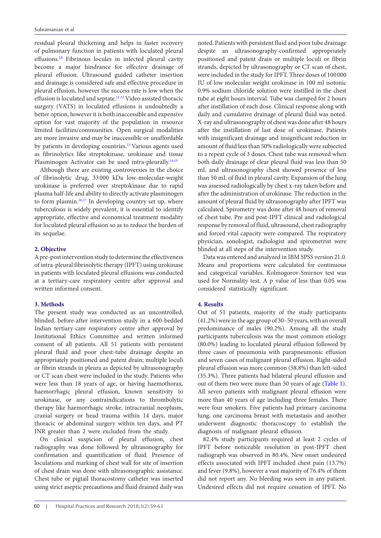residual pleural thickening and helps in faster recovery of pulmonary function in patients with loculated pleural effusions[.10](#page-3-6) Fibrinous locules in infected pleural cavity become a major hindrance for effective drainage of pleural effusion. Ultrasound guided catheter insertion and drainage is considered safe and effective procedure in pleural effusion, however the success rate is low when the effusion is loculated and septate[.11](#page-3-7)[,12](#page-3-8) Video assisted thoracic surgery (VATS) in loculated effusions is undoubtedly a better option, however it is both inaccessible and expensive option for vast majority of the population in resource limited facilities/communities. Open surgical modalities are more invasive and may be inaccessible or unaffordable by patients in developing countries[.13](#page-3-9) Various agents used as fibrinolytics like streptokinase, urokinase and tissue Plasminogen Activator can be used intra-pleurally.<sup>14[,15](#page-3-11)</sup>

Although there are existing controversies in the choice of fibrinolytic drug, 33 000 kDa low-molecular-weight urokinase is preferred over streptokinase due to rapid plasma half-life and ability to directly activate plasminogen to form plasmin.<sup>[16](#page-3-12),[17](#page-3-13)</sup> In developing country set up, where tuberculosis is widely prevalent, it is essential to identify appropriate, effective and economical treatment modality for loculated pleural effusion so as to reduce the burden of its sequelae.

#### **2. Objective**

A pre-post intervention study to determine the effectiveness of intra-pleural fibrinolytic therapy (IPFT) using urokinase in patients with loculated pleural effusions was conducted at a tertiary-care respiratory centre after approval and written informed consent.

#### **3. Methods**

The present study was conducted as an uncontrolled, blinded, before-after intervention study in a 600-bedded Indian tertiary-care respiratory centre after approval by Institutional Ethics Committee and written informed consent of all patients. All 51 patients with persistent pleural fluid and poor chest-tube drainage despite an appropriately positioned and patent drain; multiple loculi or fibrin strands in pleura as depicted by ultrasonography or CT scan chest were included in the study. Patients who were less than 18 years of age, or having haemothorax, haemorrhagic pleural effusion, known sensitivity to urokinase, or any contraindications to thrombolytic therapy like haemorrhagic stroke, intracranial neoplasm, cranial surgery or head trauma within 14 days, major thoracic or abdominal surgery within ten days, and PT INR greater than 2 were excluded from the study.

On clinical suspicion of pleural effusion, chest radiography was done followed by ultrasonography for confirmation and quantification of fluid. Presence of loculations and marking of chest wall for site of insertion of chest drain was done with ultrasonographic assistance. Chest tube or pigtail thoracostomy catheter was inserted using strict aseptic precautions and fluid drained daily was

noted. Patients with persistent fluid and poor tube drainage despite an ultrasonography-confirmed appropriately positioned and patent drain or multiple loculi or fibrin strands, depicted by ultrasonography or CT scan of chest, were included in the study for IPFT. Three doses of 100 000 IU of low molecular weight urokinase in 100 ml isotonic 0.9% sodium chloride solution were instilled in the chest tube at eight hours interval. Tube was clamped for 2 hours after instillation of each dose. Clinical response along with daily and cumulative drainage of pleural fluid was noted. X-ray and ultrasonography of chest was done after 48 hours after the instillation of last dose of urokinase. Patients with insignificant drainage and insignificant reduction in amount of fluid less than 50% radiologically were subjected to a repeat cycle of 3 doses. Chest tube was removed when both daily drainage of clear pleural fluid was less than 50 mL and ultrasonography chest showed presence of less than 50 mL of fluid in pleural cavity. Expansion of the lung was assessed radiologically by chest x-ray taken before and after the administration of urokinase. The reduction in the amount of pleural fluid by ultrasonography after IPFT was calculated. Spirometry was done after 48 hours of removal of chest tube. Pre and post-IPFT clinical and radiological response by removal of fluid, ultrasound, chest radiography and forced vital capacity were compared. The respiratory physician, sonologist, radiologist and spirometrist were blinded at all steps of the intervention study.

Data was entered and analyzed in IBM SPSS version 21.0. Means and proportions were calculated for continuous and categorical variables. Kolmogorov-Smirnov test was used for Normality test. A p value of less than 0.05 was considered statistically significant.

# **4. Results**

Out of 51 patients, majority of the study participants (41.2%) were in the age group of 30–50 years, with an overall predominance of males (90.2%). Among all the study participants tuberculosis was the most common etiology (80.0%) leading to loculated pleural effusion followed by three cases of pneumonia with parapneumonic effusion and seven cases of malignant pleural effusion. Right-sided pleural effusion was more common (58.8%) than left-sided (35.3%). Three patients had bilateral pleural effusion and out of them two were more than 50 years of age ([Table 1\)](#page-2-0). All seven patients with malignant pleural effusion were more than 40 years of age including three females. There were four smokers. Five patients had primary carcinoma lung, one carcinoma breast with metastasis and another underwent diagnostic thoracoscopy to establish the diagnosis of malignant pleural effusion.

82.4% study participants required at least 2 cycles of IPFT before noticeable resolution in post-IPFT chest radiograph was observed in 80.4%. New onset undesired effects associated with IPFT included chest pain (13.7%) and fever (9.8%), however a vast majority of 76.4% of them did not report any. No bleeding was seen in any patient. Undesired effects did not require cessation of IPFT. No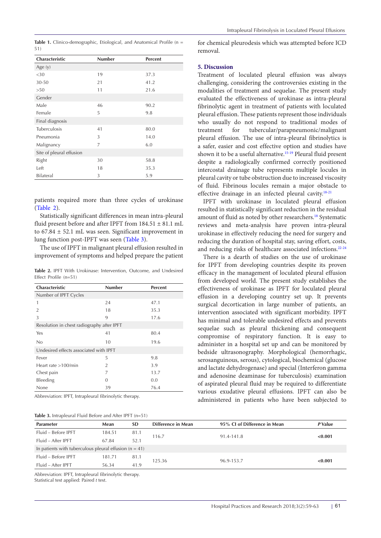<span id="page-2-0"></span>Table 1. Clinico-demographic, Etiological, and Anatomical Profile (n = 51)

| Characteristic           | <b>Number</b> | <b>Percent</b> |
|--------------------------|---------------|----------------|
| Age $(y)$                |               |                |
| <30                      | 19            | 37.3           |
| 30-50                    | 21            | 41.2           |
| >50                      | 11            | 21.6           |
| Gender                   |               |                |
| Male                     | 46            | 90.2           |
| Female                   | 5             | 9.8            |
| Final diagnosis          |               |                |
| Tuberculosis             | 41            | 80.0           |
| Pneumonia                | 3             | 14.0           |
| Malignancy               | 7             | 6.0            |
| Site of pleural effusion |               |                |
| Right                    | 30            | 58.8           |
| Left                     | 18            | 35.3           |
| Bilateral                | 3             | 5.9            |

patients required more than three cycles of urokinase [\(Table 2\)](#page-2-1).

Statistically significant differences in mean intra-pleural fluid present before and after IPFT from  $184.51 \pm 81.1$  mL to 67.84 ± 52.1 mL was seen. Significant improvement in lung function post-IPFT was seen [\(Table 3\)](#page-2-2).

The use of IPFT in malignant pleural effusion resulted in improvement of symptoms and helped prepare the patient

<span id="page-2-1"></span>**Table 2.** IPFT With Urokinase: Intervention, Outcome, and Undesired Effect Profile (n=51)

| Characteristic                             | <b>Number</b>  | <b>Percent</b> |  |  |
|--------------------------------------------|----------------|----------------|--|--|
| Number of IPFT Cycles                      |                |                |  |  |
| 1                                          | 24             | 47.1           |  |  |
| $\overline{2}$                             | 18             | 35.3           |  |  |
| 3                                          | 9              | 17.6           |  |  |
| Resolution in chest radiography after IPFT |                |                |  |  |
| Yes                                        | 41             | 80.4           |  |  |
| No                                         | 10             | 19.6           |  |  |
| Undesired effects associated with IPFT     |                |                |  |  |
| Fever                                      | 5              | 9.8            |  |  |
| Heart rate $>100$ /min                     | $\overline{2}$ | 3.9            |  |  |
| Chest pain                                 | 7              | 13.7           |  |  |
| Bleeding                                   | $\Omega$       | 0.0            |  |  |
| None                                       | 39             | 76.4           |  |  |

Abbreviation: IPFT, Intrapleural fibrinolytic therapy.

<span id="page-2-2"></span>

|  |  | Table 3. Intrapleural Fluid Before and After IPFT (n=51) |
|--|--|----------------------------------------------------------|
|--|--|----------------------------------------------------------|

for chemical pleurodesis which was attempted before ICD removal.

### **5. Discussion**

Treatment of loculated pleural effusion was always challenging, considering the controversies existing in the modalities of treatment and sequelae. The present study evaluated the effectiveness of urokinase as intra-pleural fibrinolytic agent in treatment of patients with loculated pleural effusion. These patients represent those individuals who usually do not respond to traditional modes of treatment for tubercular/parapneumonic/malignant pleural effusion. The use of intra-pleural fibrinolytics is a safer, easier and cost effective option and studies have shown it to be a useful alternative.<sup>[15](#page-3-11)-[19](#page-3-14)</sup> Pleural fluid present despite a radiologically confirmed correctly positioned intercostal drainage tube represents multiple locules in pleural cavity or tube obstruction due to increased viscosity of fluid. Fibrinous locules remain a major obstacle to effective drainage in an infected pleural cavity[.18-](#page-3-15)[21](#page-4-0)

IPFT with urokinase in loculated pleural effusion resulted in statistically significant reduction in the residual amount of fluid as noted by other researchers.<sup>18</sup> Systematic reviews and meta-analysis have proven intra-pleural urokinase in effectively reducing the need for surgery and reducing the duration of hospital stay, saving effort, costs, and reducing risks of healthcare associated infections[.22-](#page-4-1)[24](#page-4-2)

There is a dearth of studies on the use of urokinase for IPFT from developing countries despite its proven efficacy in the management of loculated pleural effusion from developed world. The present study establishes the effectiveness of urokinase as IPFT for loculated pleural effusion in a developing country set up. It prevents surgical decortication in large number of patients, an intervention associated with significant morbidity. IPFT has minimal and tolerable undesired effects and prevents sequelae such as pleural thickening and consequent compromise of respiratory function. It is easy to administer in a hospital set up and can be monitored by bedside ultrasonography. Morphological (hemorrhagic, serosanguinous, serous), cytological, biochemical (glucose and lactate dehydrogenase) and special (Interferon gamma and adenosine deaminase for tuberculosis) examination of aspirated pleural fluid may be required to differentiate various exudative pleural effusions. IPFT can also be administered in patients who have been subjected to

| <b>Parameter</b>                                         | Mean   | <b>SD</b> | Difference in Mean | 95% CI of Difference in Mean | P Value |  |  |
|----------------------------------------------------------|--------|-----------|--------------------|------------------------------|---------|--|--|
| Fluid - Before IPFT                                      | 184.51 | 81.1      | 116.7              | 91.4-141.8                   | < 0.001 |  |  |
| Fluid – After IPFT                                       | 67.84  | 52.1      |                    |                              |         |  |  |
| In patients with tuberculous pleural effusion $(n = 41)$ |        |           |                    |                              |         |  |  |
| Fluid - Before IPFT                                      | 181.71 | 81.1      | 125.36             | 96.9-153.7                   |         |  |  |
| Fluid - After IPFT                                       | 56.34  | 41.9      |                    |                              | < 0.001 |  |  |

Abbreviation: IPFT, Intrapleural fibrinolytic therapy. Statistical test applied: Paired *t* test.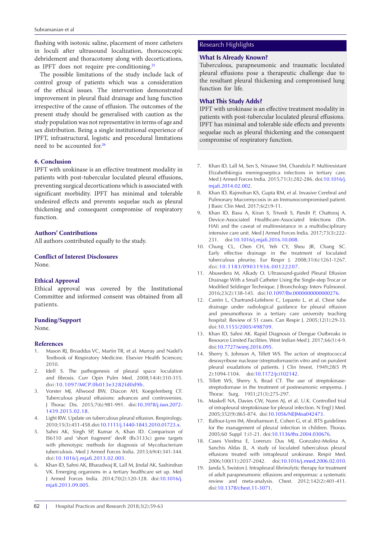flushing with isotonic saline, placement of more catheters Research Highlights in loculi after ultrasound localization, thoracoscopic debridement and thoracotomy along with decortications, as IPFT does not require pre-conditioning.[25](#page-4-3)

The possible limitations of the study include lack of control group of patients which was a consideration of the ethical issues. The intervention demonstrated improvement in pleural fluid drainage and lung function irrespective of the cause of effusion. The outcomes of the present study should be generalised with caution as the study population was not representative in terms of age and sex distribution. Being a single institutional experience of IPFT, infrastructural, logistic and procedural limitations need to be accounted for.<sup>26</sup>

#### **6. Conclusion**

IPFT with urokinase is an effective treatment modality in patients with post-tubercular loculated pleural effusions, preventing surgical decortications which is associated with significant morbidity. IPFT has minimal and tolerable undesired effects and prevents sequelae such as pleural thickening and consequent compromise of respiratory function.

#### **Authors' Contributions**

All authors contributed equally to the study.

### **Conflict of Interest Disclosures**

None.

## **Ethical Approval**

Ethical approval was covered by the Institutional Committee and informed consent was obtained from all patients.

#### **Funding/Support**

None.

#### **References**

- <span id="page-3-0"></span>1. Mason RJ, Broaddus VC, Martin TR, et al. Murray and Nadel's Textbook of Respiratory Medicine. Elsevier Health Sciences; 2010.
- <span id="page-3-1"></span>2. Idell S. The pathogenesis of pleural space loculation and fibrosis. Curr Opin Pulm Med. 2008;14(4):310-315. doi:[10.1097/MCP.0b013e3282fd0d9b](https://doi.org/10.1097/MCP.0b013e3282fd0d9b).
- <span id="page-3-2"></span>3. Vorster MJ, Allwood BW, Diacon AH, Koegelenberg CF. Tuberculous pleural effusions: advances and controversies. J Thorac Dis. 2015;7(6):981-991. doi[:10.3978/j.issn.2072-](https://doi.org/10.3978/j.issn.2072-1439.2015.02.18) [1439.2015.02.18](https://doi.org/10.3978/j.issn.2072-1439.2015.02.18).
- 4. Light RW. Update on tuberculous pleural effusion. Respirology. 2010;15(3):451-458. doi:[10.1111/j.1440-1843.2010.01723.x.](https://doi.org/10.1111/j.1440-1843.2010.01723.x)
- <span id="page-3-3"></span>5. Sahni AK, Singh SP, Kumar A, Khan ID. Comparison of IS6110 and 'short fragment' devR (Rv3133c) gene targets with phenotypic methods for diagnosis of Mycobacterium tuberculosis. Med J Armed Forces India. 2013;69(4):341-344. doi[:10.1016/j.mjafi.2013.02.003](https://doi.org/10.1016/j.mjafi.2013.02.003).
- <span id="page-3-4"></span>6. Khan ID, Sahni AK, Bharadwaj R, Lall M, Jindal AK, Sashindran VK. Emerging organisms in a tertiary healthcare set up. Med J Armed Forces India. 2014;70(2):120-128. doi:[10.1016/j.](https://doi.org/10.1016/j.mjafi.2013.09.005) [mjafi.2013.09.005](https://doi.org/10.1016/j.mjafi.2013.09.005).

#### **What Is Already Known?**

Tuberculous, parapneumonic and traumatic loculated pleural effusions pose a therapeutic challenge due to the resultant pleural thickening and compromised lung function for life.

# **What This Study Adds?**

IPFT with urokinase is an effective treatment modality in patients with post-tubercular loculated pleural effusions. IPFT has minimal and tolerable side effects and prevents sequelae such as pleural thickening and the consequent compromise of respiratory function.

- 7. Khan ID, Lall M, Sen S, Ninawe SM, Chandola P. Multiresistant Elizabethkingia meningoseptica infections in tertiary care. Med J Armed Forces India. 2015;71(3):282-286. doi:[10.1016/j.](https://doi.org/10.1016/j.mjafi.2014.02.002) [mjafi.2014.02.002.](https://doi.org/10.1016/j.mjafi.2014.02.002)
- 8. Khan ID, Rajmohan KS, Gupta RM, et al. Invasive Cerebral and Pulmonary Mucormycosis in an Immunocompromised patient. J Basic Clin Med. 2017;6(2):9-11.
- <span id="page-3-5"></span>9. Khan ID, Basu A, Kiran S, Trivedi S, Pandit P, Chattoraj A. Device-Associated Healthcare-Associated Infections (DA-HAI) and the caveat of multiresistance in a multidisciplinary intensive care unit. Med J Armed Forces India. 2017;73(3):222- 231. doi[:10.1016/j.mjafi.2016.10.008.](https://doi.org/10.1016/j.mjafi.2016.10.008)
- <span id="page-3-6"></span>10. Chung CL, Chen CH, Yeh CY, Sheu JR, Chang SC. Early effective drainage in the treatment of loculated tuberculous pleurisy. Eur Respir J. 2008;31(6):1261-1267. doi:[10.1183/09031936.00122207](https://doi.org/10.1183/09031936.00122207).
- <span id="page-3-7"></span>11. Abusedera M, Alkady O. Ultrasound-guided Pleural Effusion Drainage With a Small Catheter Using the Single-step Trocar or Modified Seldinger Technique. J Bronchology Interv Pulmonol. 2016;23(2):138-145. doi:[10.1097/lbr.0000000000000276](https://doi.org/10.1097/lbr.0000000000000276).
- <span id="page-3-8"></span>12. Cantin L, Chartrand-Lefebvre C, Lepanto L, et al. Chest tube drainage under radiological guidance for pleural effusion and pneumothorax in a tertiary care university teaching hospital: Review of 51 cases. Can Respir J. 2005;12(1):29-33. doi:[10.1155/2005/498709](https://doi.org/10.1155/2005/498709).
- <span id="page-3-9"></span>13. Khan ID, Sahni AK. Rapid Diagnosis of Dengue Outbreaks in Resource Limited Facilities. West Indian Med J. 2017;66(1):4-9. doi:[10.7727/wimj.2016.095.](https://doi.org/10.7727/wimj.2016.095)
- <span id="page-3-10"></span>14. Sherry S, Johnson A, Tillett WS. The action of streptococcal desoxyribose nuclease (streptodornase)in vitro and on purulent pleural exudations of patients. J Clin Invest. 1949;28(5 Pt 2):1094-1104. doi:[10.1172/jci102142.](https://doi.org/10.1172/jci102142)
- <span id="page-3-11"></span>15. Tillett WS, Sherry S, Read CT. The use of streptokinasestreptodornase in the treatment of postneumonic empyema. J Thorac Surg. 1951;21(3):275-297.
- <span id="page-3-12"></span>16. Maskell NA, Davies CW, Nunn AJ, et al. U.K. Controlled trial of intrapleural streptokinase for pleural infection. N Engl J Med. 2005;352(9):865-874. doi[:10.1056/NEJMoa042473.](https://doi.org/10.1056/NEJMoa042473)
- <span id="page-3-13"></span>17. Balfour-Lynn IM, Abrahamson E, Cohen G, et al. BTS guidelines for the management of pleural infection in children. Thorax. 2005;60 Suppl 1:i1-21. doi:[10.1136/thx.2004.030676.](https://doi.org/10.1136/thx.2004.030676)
- <span id="page-3-15"></span>18. Cases Viedma E, Lorenzo Dus MJ, Gonzalez-Molina A, Sanchis Aldas JL. A study of loculated tuberculous pleural effusions treated with intrapleural urokinase. Respir Med. 2006;100(11):2037-2042. doi[:10.1016/j.rmed.2006.02.010](https://doi.org/10.1016/j.rmed.2006.02.010).
- <span id="page-3-14"></span>19. Janda S, Swiston J. Intrapleural fibrinolytic therapy for treatment of adult parapneumonic effusions and empyemas: a systematic review and meta-analysis. Chest. 2012;142(2):401-411. doi:[10.1378/chest.11-3071](https://doi.org/10.1378/chest.11-3071).